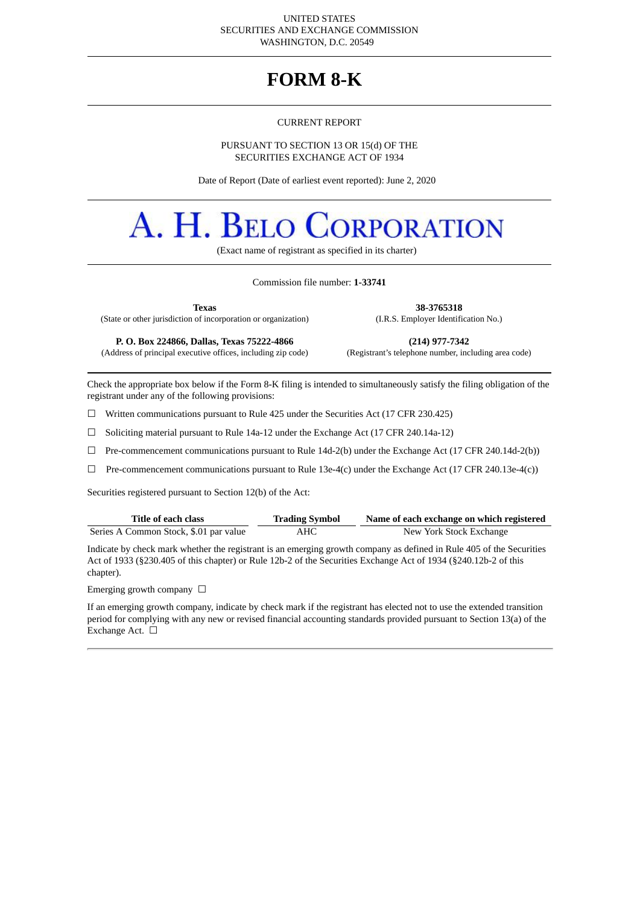#### UNITED STATES SECURITIES AND EXCHANGE COMMISSION WASHINGTON, D.C. 20549

### **FORM 8-K**

#### CURRENT REPORT

PURSUANT TO SECTION 13 OR 15(d) OF THE SECURITIES EXCHANGE ACT OF 1934

Date of Report (Date of earliest event reported): June 2, 2020

### A. H. BELO **CORPORATION**

(Exact name of registrant as specified in its charter)

#### Commission file number: **1-33741**

(State or other jurisdiction of incorporation or organization) (I.R.S. Employer Identification No.)

**Texas 38-3765318**

**P. O. Box 224866, Dallas, Texas 75222-4866 (214) 977-7342**

(Address of principal executive offices, including zip code) (Registrant's telephone number, including area code)

Check the appropriate box below if the Form 8-K filing is intended to simultaneously satisfy the filing obligation of the registrant under any of the following provisions:

☐ Written communications pursuant to Rule 425 under the Securities Act (17 CFR 230.425)

☐ Soliciting material pursuant to Rule 14a-12 under the Exchange Act (17 CFR 240.14a-12)

☐ Pre-commencement communications pursuant to Rule 14d-2(b) under the Exchange Act (17 CFR 240.14d-2(b))

 $\Box$  Pre-commencement communications pursuant to Rule 13e-4(c) under the Exchange Act (17 CFR 240.13e-4(c))

Securities registered pursuant to Section 12(b) of the Act:

| Title of each class                    | <b>Trading Symbol</b> | Name of each exchange on which registered |
|----------------------------------------|-----------------------|-------------------------------------------|
| Series A Common Stock, \$.01 par value | АНС                   | New York Stock Exchange                   |

Indicate by check mark whether the registrant is an emerging growth company as defined in Rule 405 of the Securities Act of 1933 (§230.405 of this chapter) or Rule 12b-2 of the Securities Exchange Act of 1934 (§240.12b-2 of this chapter).

Emerging growth company  $\Box$ 

If an emerging growth company, indicate by check mark if the registrant has elected not to use the extended transition period for complying with any new or revised financial accounting standards provided pursuant to Section 13(a) of the Exchange Act. ☐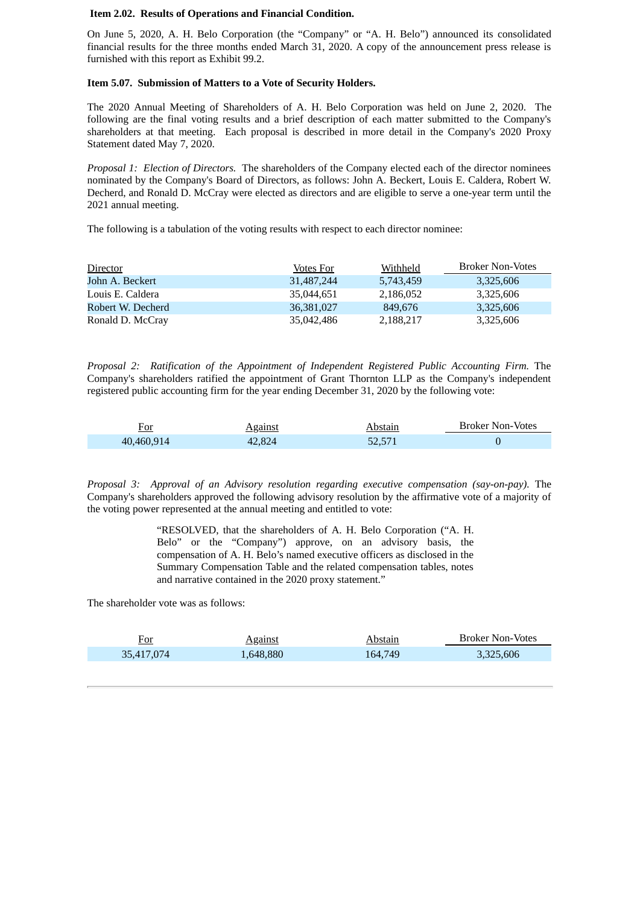#### **Item 2.02. Results of Operations and Financial Condition.**

On June 5, 2020, A. H. Belo Corporation (the "Company" or "A. H. Belo") announced its consolidated financial results for the three months ended March 31, 2020. A copy of the announcement press release is furnished with this report as Exhibit 99.2.

#### **Item 5.07. Submission of Matters to a Vote of Security Holders.**

The 2020 Annual Meeting of Shareholders of A. H. Belo Corporation was held on June 2, 2020. The following are the final voting results and a brief description of each matter submitted to the Company's shareholders at that meeting. Each proposal is described in more detail in the Company's 2020 Proxy Statement dated May 7, 2020.

*Proposal 1: Election of Directors.* The shareholders of the Company elected each of the director nominees nominated by the Company's Board of Directors, as follows: John A. Beckert, Louis E. Caldera, Robert W. Decherd, and Ronald D. McCray were elected as directors and are eligible to serve a one-year term until the 2021 annual meeting.

The following is a tabulation of the voting results with respect to each director nominee:

| Director          | Votes For  | Withheld  | <b>Broker Non-Votes</b> |
|-------------------|------------|-----------|-------------------------|
| John A. Beckert   | 31,487,244 | 5.743.459 | 3,325,606               |
| Louis E. Caldera  | 35,044,651 | 2,186,052 | 3,325,606               |
| Robert W. Decherd | 36,381,027 | 849.676   | 3.325.606               |
| Ronald D. McCray  | 35,042,486 | 2,188,217 | 3,325,606               |

*Proposal 2: Ratification of the Appointment of Independent Registered Public Accounting Firm.* The Company's shareholders ratified the appointment of Grant Thornton LLP as the Company's independent registered public accounting firm for the year ending December 31, 2020 by the following vote:

| For        | <b>Against</b> | Abstain | <b>Broker Non-Votes</b> |
|------------|----------------|---------|-------------------------|
| 40,460,914 | 42,824         | 52,571  |                         |

*Proposal 3: Approval of an Advisory resolution regarding executive compensation (say-on-pay).* The Company's shareholders approved the following advisory resolution by the affirmative vote of a majority of the voting power represented at the annual meeting and entitled to vote:

> "RESOLVED, that the shareholders of A. H. Belo Corporation ("A. H. Belo" or the "Company") approve, on an advisory basis, the compensation of A. H. Belo's named executive officers as disclosed in the Summary Compensation Table and the related compensation tables, notes and narrative contained in the 2020 proxy statement."

The shareholder vote was as follows:

| For        | <b>Against</b> | Abstain | Broker Non-Votes |
|------------|----------------|---------|------------------|
| 35,417,074 | 1,648,880      | 164.749 | 3,325,606        |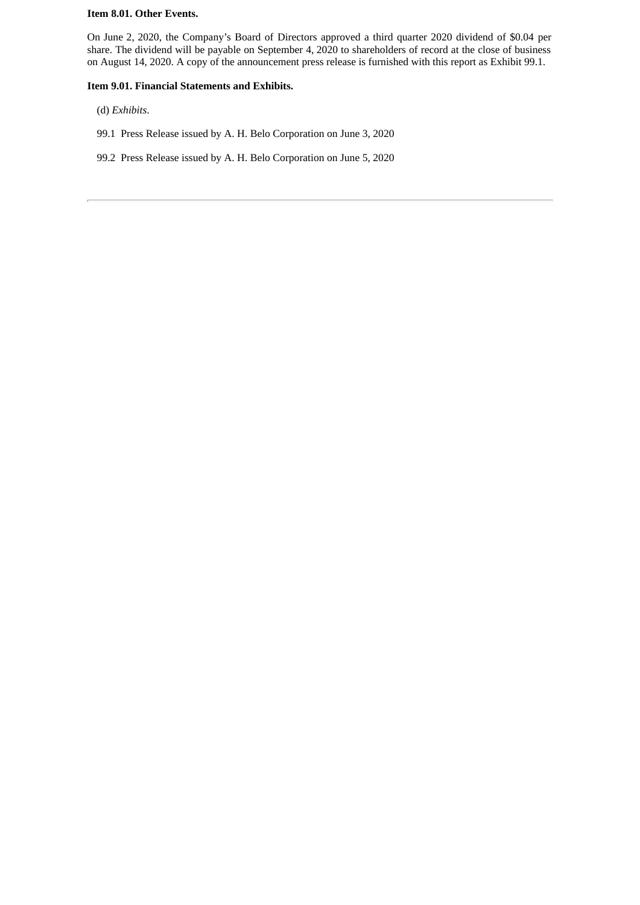#### **Item 8.01. Other Events.**

On June 2, 2020, the Company's Board of Directors approved a third quarter 2020 dividend of \$0.04 per share. The dividend will be payable on September 4, 2020 to shareholders of record at the close of business on August 14, 2020. A copy of the announcement press release is furnished with this report as Exhibit 99.1.

#### **Item 9.01. Financial Statements and Exhibits.**

(d) *Exhibits*.

- 99.1 Press Release issued by A. H. Belo Corporation on June 3, 2020
- 99.2 Press Release issued by A. H. Belo Corporation on June 5, 2020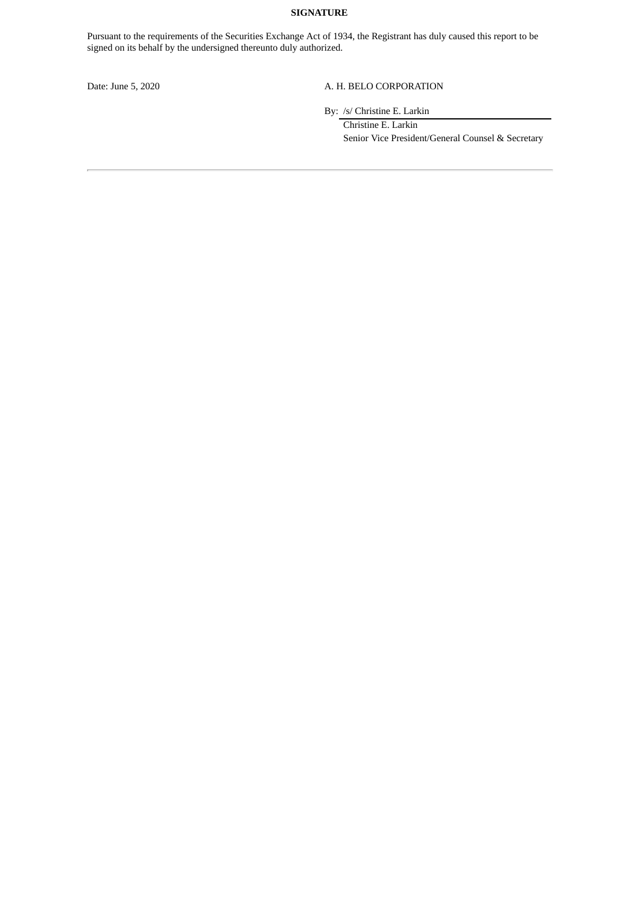#### **SIGNATURE**

Pursuant to the requirements of the Securities Exchange Act of 1934, the Registrant has duly caused this report to be signed on its behalf by the undersigned thereunto duly authorized.

#### Date: June 5, 2020 A. H. BELO CORPORATION

By: /s/ Christine E. Larkin

Christine E. Larkin Senior Vice President/General Counsel & Secretary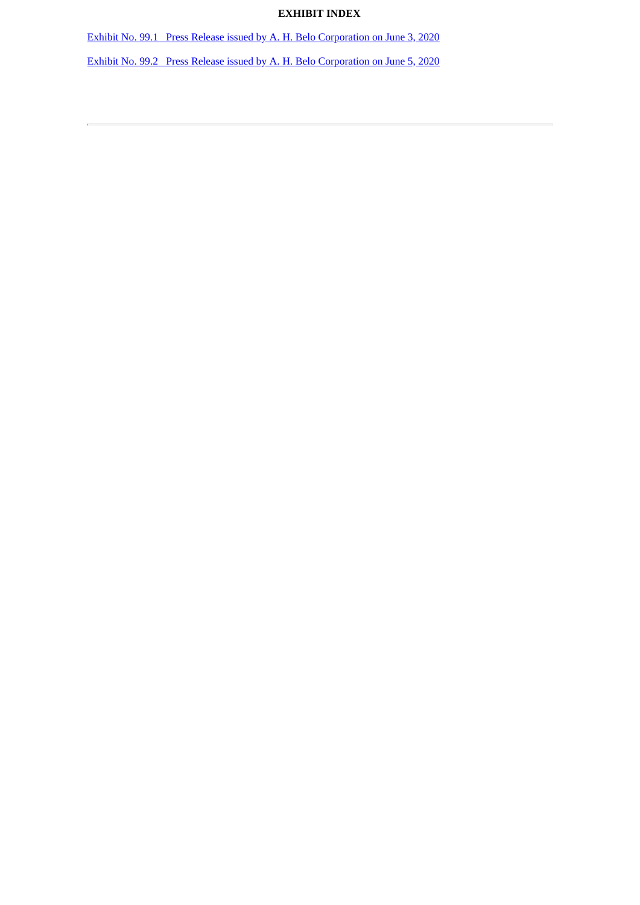#### **EXHIBIT INDEX**

Exhibit No. 99.1 Press Release issued by A. H. Belo [Corporation](#page-5-0) on June 3, 2020

Exhibit No. 99.2 Press Release issued by A. H. Belo [Corporation](#page-6-0) on June 5, 2020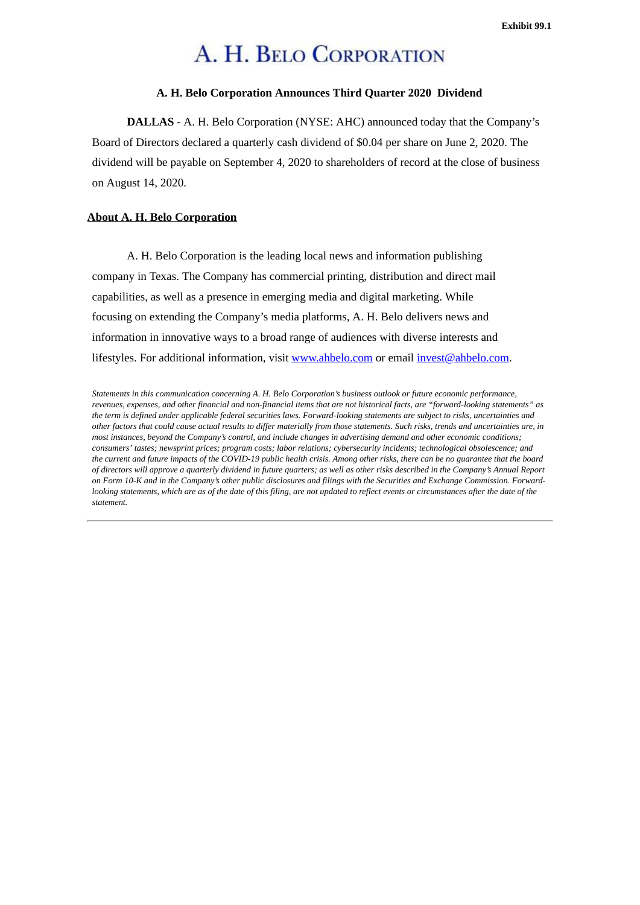# A. H. BELO CORPORATION

#### **A. H. Belo Corporation Announces Third Quarter 2020 Dividend**

<span id="page-5-0"></span>**DALLAS** - A. H. Belo Corporation (NYSE: AHC) announced today that the Company's Board of Directors declared a quarterly cash dividend of \$0.04 per share on June 2, 2020. The dividend will be payable on September 4, 2020 to shareholders of record at the close of business on August 14, 2020.

#### **About A. H. Belo Corporation**

A. H. Belo Corporation is the leading local news and information publishing company in Texas. The Company has commercial printing, distribution and direct mail capabilities, as well as a presence in emerging media and digital marketing. While focusing on extending the Company's media platforms, A. H. Belo delivers news and information in innovative ways to a broad range of audiences with diverse interests and lifestyles. For additional information, visit www.ahbelo.com or email invest@ahbelo.com.

*Statements in this communication concerning A. H. Belo Corporation's business outlook or future economic performance, revenues, expenses, and other financial and non-financial items that are not historical facts, are "forward-looking statements" as the term is defined under applicable federal securities laws. Forward-looking statements are subject to risks, uncertainties and other factors that could cause actual results to differ materially from those statements. Such risks, trends and uncertainties are, in most instances, beyond the Company's control, and include changes in advertising demand and other economic conditions; consumers' tastes; newsprint prices; program costs; labor relations; cybersecurity incidents; technological obsolescence; and the current and future impacts of the COVID-19 public health crisis. Among other risks, there can be no guarantee that the board of directors will approve a quarterly dividend in future quarters; as well as other risks described in the Company's Annual Report on Form 10-K and in the Company's other public disclosures and filings with the Securities and Exchange Commission. Forwardlooking statements, which are as of the date of this filing, are not updated to reflect events or circumstances after the date of the statement.*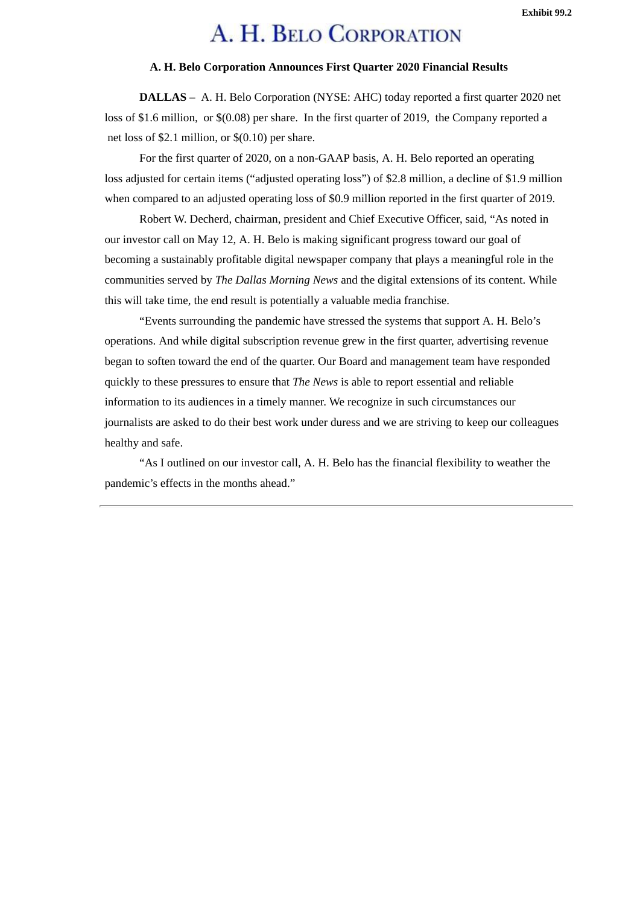## A. H. BELO CORPORATION

#### **A. H. Belo Corporation Announces First Quarter 2020 Financial Results**

<span id="page-6-0"></span>**DALLAS –** A. H. Belo Corporation (NYSE: AHC) today reported a first quarter 2020 net loss of \$1.6 million, or \$(0.08) per share. In the first quarter of 2019, the Company reported a net loss of \$2.1 million, or \$(0.10) per share.

For the first quarter of 2020, on a non-GAAP basis, A. H. Belo reported an operating loss adjusted for certain items ("adjusted operating loss") of \$2.8 million, a decline of \$1.9 million when compared to an adjusted operating loss of \$0.9 million reported in the first quarter of 2019.

Robert W. Decherd, chairman, president and Chief Executive Officer, said, "As noted in our investor call on May 12, A. H. Belo is making significant progress toward our goal of becoming a sustainably profitable digital newspaper company that plays a meaningful role in the communities served by *The Dallas Morning News* and the digital extensions of its content. While this will take time, the end result is potentially a valuable media franchise.

"Events surrounding the pandemic have stressed the systems that support A. H. Belo's operations. And while digital subscription revenue grew in the first quarter, advertising revenue began to soften toward the end of the quarter. Our Board and management team have responded quickly to these pressures to ensure that *The News* is able to report essential and reliable information to its audiences in a timely manner. We recognize in such circumstances our journalists are asked to do their best work under duress and we are striving to keep our colleagues healthy and safe.

"As I outlined on our investor call, A. H. Belo has the financial flexibility to weather the pandemic's effects in the months ahead."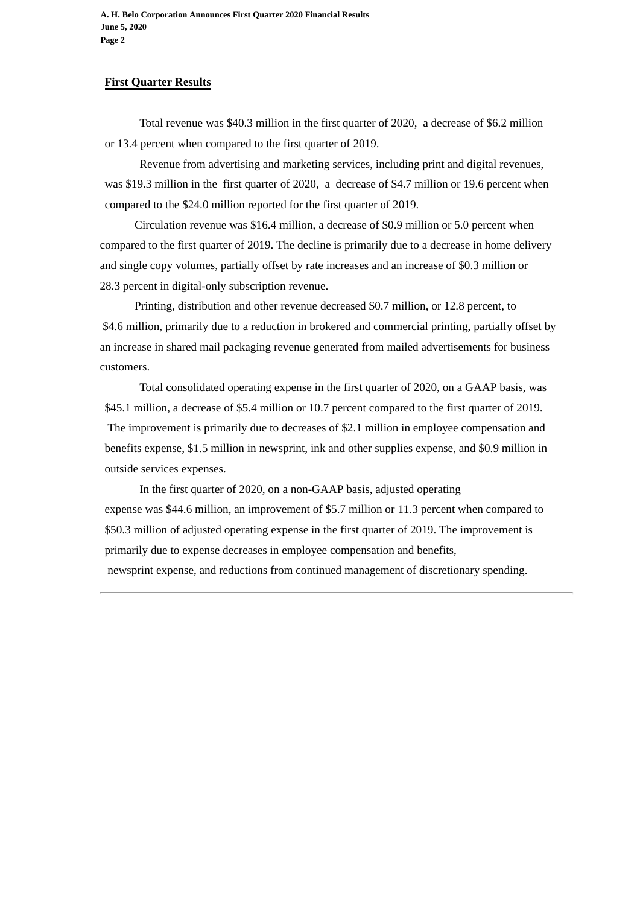#### **First Quarter Results**

Total revenue was \$40.3 million in the first quarter of 2020, a decrease of \$6.2 million or 13.4 percent when compared to the first quarter of 2019.

Revenue from advertising and marketing services, including print and digital revenues, was \$19.3 million in the first quarter of 2020, a decrease of \$4.7 million or 19.6 percent when compared to the \$24.0 million reported for the first quarter of 2019.

Circulation revenue was \$16.4 million, a decrease of \$0.9 million or 5.0 percent when compared to the first quarter of 2019. The decline is primarily due to a decrease in home delivery and single copy volumes, partially offset by rate increases and an increase of \$0.3 million or 28.3 percent in digital-only subscription revenue.

Printing, distribution and other revenue decreased \$0.7 million, or 12.8 percent, to \$4.6 million, primarily due to a reduction in brokered and commercial printing, partially offset by an increase in shared mail packaging revenue generated from mailed advertisements for business customers.

Total consolidated operating expense in the first quarter of 2020, on a GAAP basis, was \$45.1 million, a decrease of \$5.4 million or 10.7 percent compared to the first quarter of 2019. The improvement is primarily due to decreases of \$2.1 million in employee compensation and benefits expense, \$1.5 million in newsprint, ink and other supplies expense, and \$0.9 million in outside services expenses.

In the first quarter of 2020, on a non-GAAP basis, adjusted operating expense was \$44.6 million, an improvement of \$5.7 million or 11.3 percent when compared to \$50.3 million of adjusted operating expense in the first quarter of 2019. The improvement is primarily due to expense decreases in employee compensation and benefits,

newsprint expense, and reductions from continued management of discretionary spending.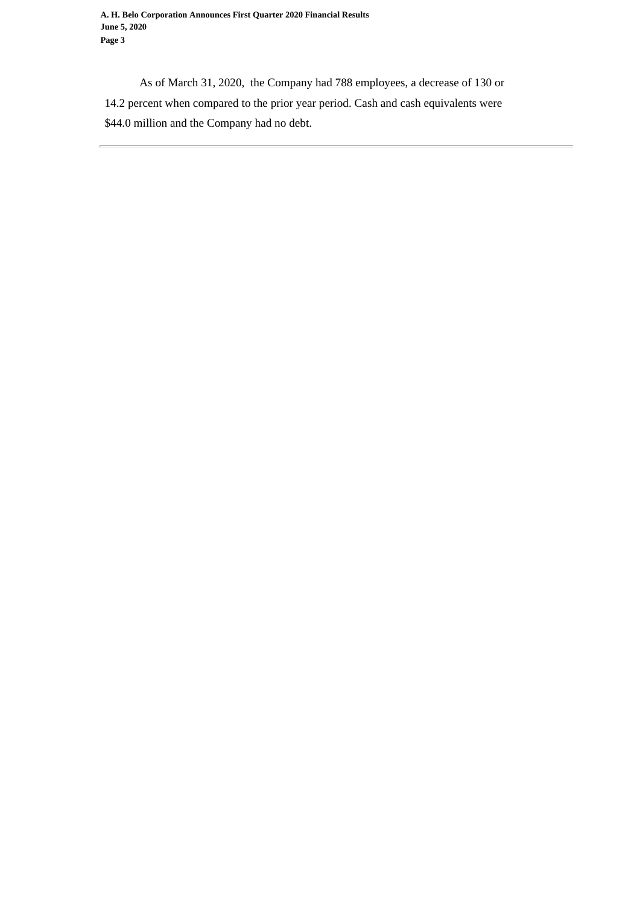As of March 31, 2020, the Company had 788 employees, a decrease of 130 or 14.2 percent when compared to the prior year period. Cash and cash equivalents were \$44.0 million and the Company had no debt.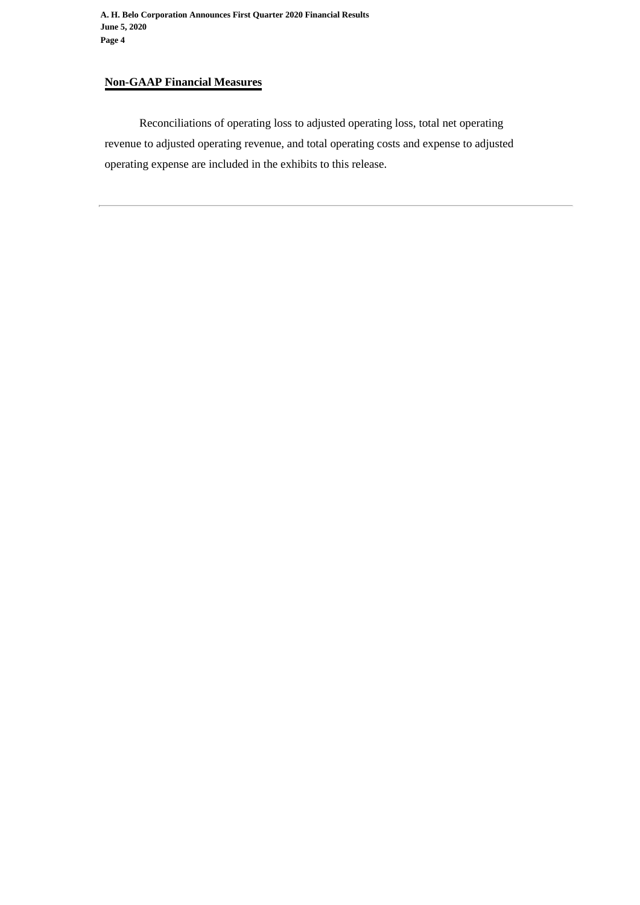#### **Non-GAAP Financial Measures**

Reconciliations of operating loss to adjusted operating loss, total net operating revenue to adjusted operating revenue, and total operating costs and expense to adjusted operating expense are included in the exhibits to this release.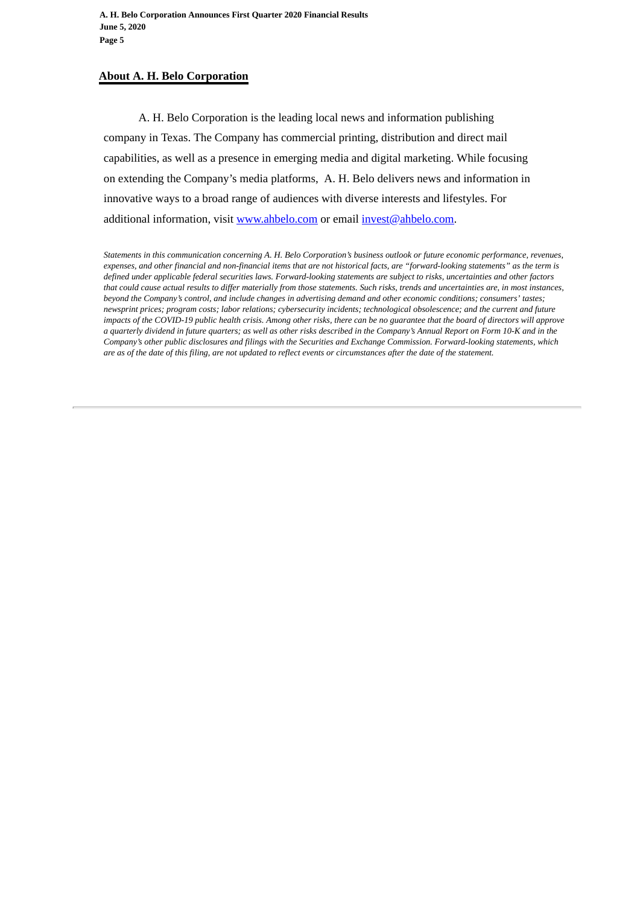#### **About A. H. Belo Corporation**

A. H. Belo Corporation is the leading local news and information publishing company in Texas. The Company has commercial printing, distribution and direct mail capabilities, as well as a presence in emerging media and digital marketing. While focusing on extending the Company's media platforms, A. H. Belo delivers news and information in innovative ways to a broad range of audiences with diverse interests and lifestyles. For additional information, visit www.ahbelo.com or email invest@ahbelo.com.

*Statements in this communication concerning A. H. Belo Corporation's business outlook or future economic performance, revenues, expenses, and other financial and non-financial items that are not historical facts, are "forward-looking statements" as the term is defined under applicable federal securities laws. Forward-looking statements are subject to risks, uncertainties and other factors that could cause actual results to differ materially from those statements. Such risks, trends and uncertainties are, in most instances, beyond the Company's control, and include changes in advertising demand and other economic conditions; consumers' tastes; newsprint prices; program costs; labor relations; cybersecurity incidents; technological obsolescence; and the current and future impacts of the COVID-19 public health crisis. Among other risks, there can be no guarantee that the board of directors will approve a quarterly dividend in future quarters; as well as other risks described in the Company's Annual Report on Form 10-K and in the Company's other public disclosures and filings with the Securities and Exchange Commission. Forward-looking statements, which are as of the date of this filing, are not updated to reflect events or circumstances after the date of the statement.*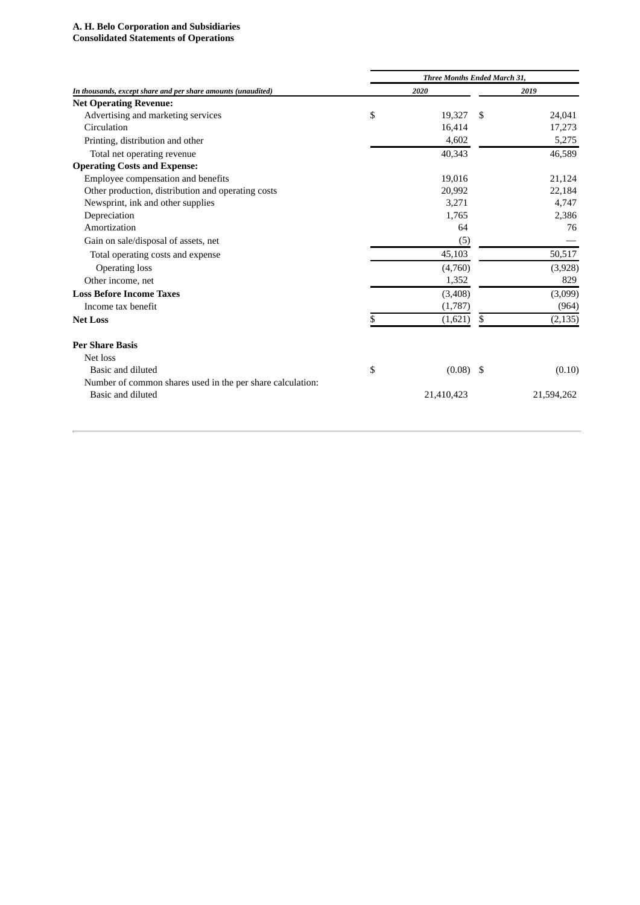#### **A. H. Belo Corporation and Subsidiaries**

#### **Consolidated Statements of Operations**

|                                                              | Three Months Ended March 31, |             |    |            |
|--------------------------------------------------------------|------------------------------|-------------|----|------------|
| In thousands, except share and per share amounts (unaudited) |                              | 2020        |    | 2019       |
| <b>Net Operating Revenue:</b>                                |                              |             |    |            |
| Advertising and marketing services                           | \$                           | 19,327      | -S | 24,041     |
| Circulation                                                  |                              | 16,414      |    | 17,273     |
| Printing, distribution and other                             |                              | 4,602       |    | 5,275      |
| Total net operating revenue                                  |                              | 40,343      |    | 46,589     |
| <b>Operating Costs and Expense:</b>                          |                              |             |    |            |
| Employee compensation and benefits                           |                              | 19,016      |    | 21,124     |
| Other production, distribution and operating costs           |                              | 20,992      |    | 22,184     |
| Newsprint, ink and other supplies                            |                              | 3,271       |    | 4,747      |
| Depreciation                                                 |                              | 1,765       |    | 2,386      |
| Amortization                                                 |                              | 64          |    | 76         |
| Gain on sale/disposal of assets, net                         |                              | (5)         |    |            |
| Total operating costs and expense                            |                              | 45,103      |    | 50,517     |
| <b>Operating loss</b>                                        |                              | (4,760)     |    | (3,928)    |
| Other income, net                                            |                              | 1,352       |    | 829        |
| <b>Loss Before Income Taxes</b>                              |                              | (3,408)     |    | (3,099)    |
| Income tax benefit                                           |                              | (1,787)     |    | (964)      |
| <b>Net Loss</b>                                              | \$                           | (1,621)     | \$ | (2, 135)   |
| <b>Per Share Basis</b>                                       |                              |             |    |            |
| Net loss                                                     |                              |             |    |            |
| Basic and diluted                                            | \$                           | $(0.08)$ \$ |    | (0.10)     |
| Number of common shares used in the per share calculation:   |                              |             |    |            |
| Basic and diluted                                            |                              | 21,410,423  |    | 21,594,262 |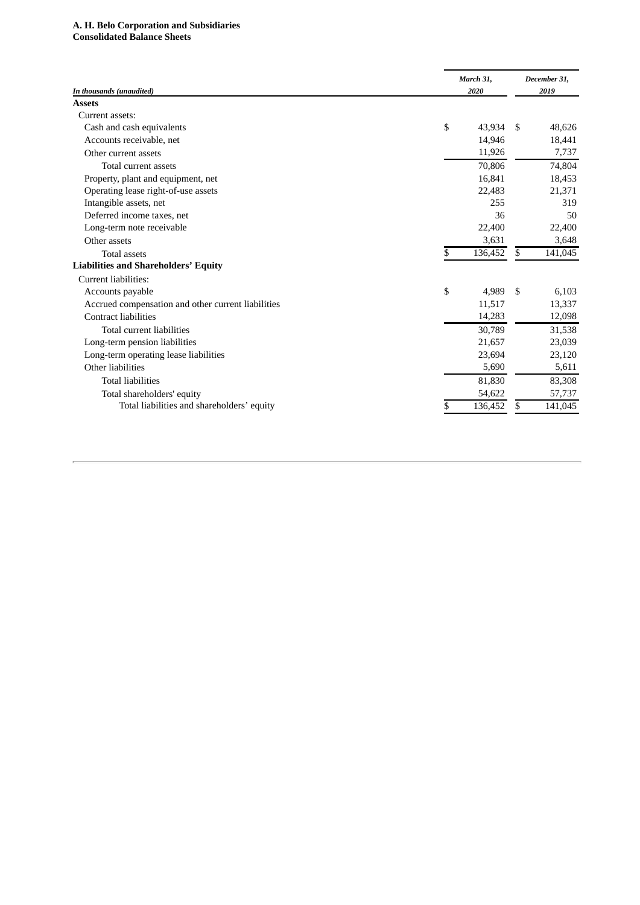#### A. H. Belo Corporation and Subsidiaries **Consolidated Balance Sheets**

|                                                    |    | March 31, |      | December 31, |  |
|----------------------------------------------------|----|-----------|------|--------------|--|
| In thousands (unaudited)                           |    | 2020      | 2019 |              |  |
| <b>Assets</b>                                      |    |           |      |              |  |
| Current assets:                                    |    |           |      |              |  |
| Cash and cash equivalents                          | \$ | 43,934    | -\$  | 48,626       |  |
| Accounts receivable, net                           |    | 14,946    |      | 18,441       |  |
| Other current assets                               |    | 11,926    |      | 7,737        |  |
| Total current assets                               |    | 70,806    |      | 74,804       |  |
| Property, plant and equipment, net                 |    | 16,841    |      | 18,453       |  |
| Operating lease right-of-use assets                |    | 22,483    |      | 21,371       |  |
| Intangible assets, net                             |    | 255       |      | 319          |  |
| Deferred income taxes, net                         |    | 36        |      | 50           |  |
| Long-term note receivable                          |    | 22,400    |      | 22,400       |  |
| Other assets                                       |    | 3,631     |      | 3,648        |  |
| <b>Total assets</b>                                | S. | 136,452   | \$   | 141,045      |  |
| <b>Liabilities and Shareholders' Equity</b>        |    |           |      |              |  |
| Current liabilities:                               |    |           |      |              |  |
| Accounts payable                                   | \$ | 4,989     | \$   | 6,103        |  |
| Accrued compensation and other current liabilities |    | 11,517    |      | 13,337       |  |
| Contract liabilities                               |    | 14,283    |      | 12,098       |  |
| Total current liabilities                          |    | 30,789    |      | 31,538       |  |
| Long-term pension liabilities                      |    | 21,657    |      | 23,039       |  |
| Long-term operating lease liabilities              |    | 23,694    |      | 23,120       |  |
| Other liabilities                                  |    | 5,690     |      | 5,611        |  |
| <b>Total liabilities</b>                           |    | 81,830    |      | 83,308       |  |
| Total shareholders' equity                         |    | 54,622    |      | 57,737       |  |
| Total liabilities and shareholders' equity         | S  | 136,452   | \$   | 141,045      |  |
|                                                    |    |           |      |              |  |